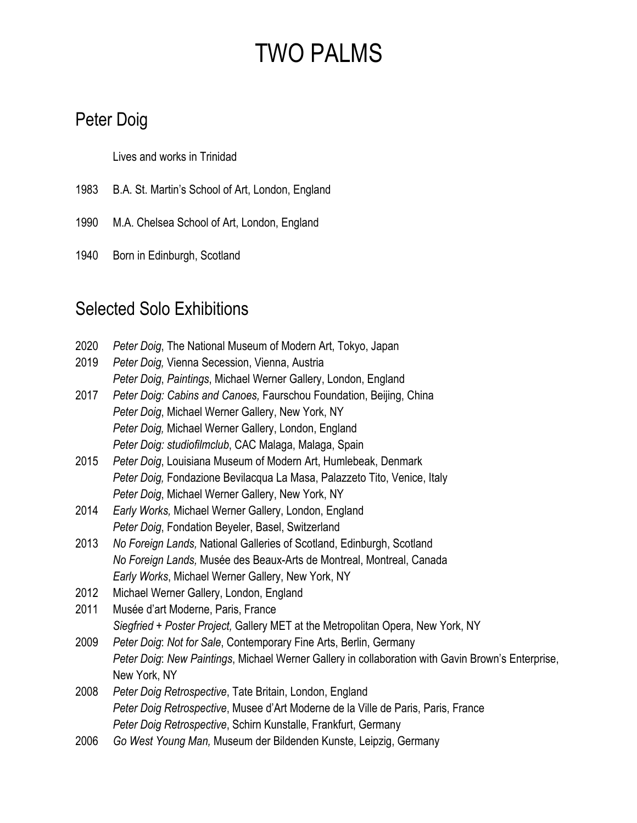#### Peter Doig

Lives and works in Trinidad

- 1983 B.A. St. Martin's School of Art, London, England
- 1990 M.A. Chelsea School of Art, London, England
- 1940 Born in Edinburgh, Scotland

#### Selected Solo Exhibitions

| 2020 | Peter Doig, The National Museum of Modern Art, Tokyo, Japan                                       |
|------|---------------------------------------------------------------------------------------------------|
| 2019 | Peter Doig, Vienna Secession, Vienna, Austria                                                     |
|      | Peter Doig, Paintings, Michael Werner Gallery, London, England                                    |
| 2017 | Peter Doig: Cabins and Canoes, Faurschou Foundation, Beijing, China                               |
|      | Peter Doig, Michael Werner Gallery, New York, NY                                                  |
|      | Peter Doig, Michael Werner Gallery, London, England                                               |
|      | Peter Doig: studiofilmclub, CAC Malaga, Malaga, Spain                                             |
| 2015 | Peter Doig, Louisiana Museum of Modern Art, Humlebeak, Denmark                                    |
|      | Peter Doig, Fondazione Bevilacqua La Masa, Palazzeto Tito, Venice, Italy                          |
|      | Peter Doig, Michael Werner Gallery, New York, NY                                                  |
| 2014 | Early Works, Michael Werner Gallery, London, England                                              |
|      | Peter Doig, Fondation Beyeler, Basel, Switzerland                                                 |
| 2013 | No Foreign Lands, National Galleries of Scotland, Edinburgh, Scotland                             |
|      | No Foreign Lands, Musée des Beaux-Arts de Montreal, Montreal, Canada                              |
|      | Early Works, Michael Werner Gallery, New York, NY                                                 |
| 2012 | Michael Werner Gallery, London, England                                                           |
| 2011 | Musée d'art Moderne, Paris, France                                                                |
|      | Siegfried + Poster Project, Gallery MET at the Metropolitan Opera, New York, NY                   |
| 2009 | Peter Doig: Not for Sale, Contemporary Fine Arts, Berlin, Germany                                 |
|      | Peter Doig: New Paintings, Michael Werner Gallery in collaboration with Gavin Brown's Enterprise, |
|      | New York, NY                                                                                      |
| 2008 | Peter Doig Retrospective, Tate Britain, London, England                                           |
|      | Peter Doig Retrospective, Musee d'Art Moderne de la Ville de Paris, Paris, France                 |
|      | Peter Doig Retrospective, Schirn Kunstalle, Frankfurt, Germany                                    |
|      |                                                                                                   |

2006 *Go West Young Man,* Museum der Bildenden Kunste, Leipzig, Germany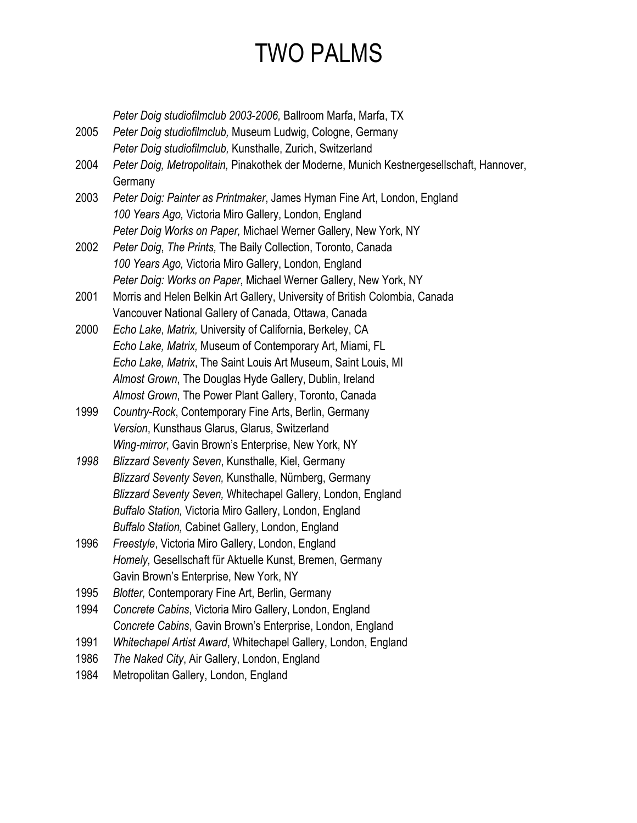*Peter Doig studiofilmclub 2003-2006,* Ballroom Marfa, Marfa, TX

- 2005 *Peter Doig studiofilmclub,* Museum Ludwig, Cologne, Germany *Peter Doig studiofilmclub,* Kunsthalle, Zurich, Switzerland 2004 *Peter Doig, Metropolitain,* Pinakothek der Moderne, Munich Kestnergesellschaft, Hannover,
	- **Germany**
- 2003 *Peter Doig: Painter as Printmaker*, James Hyman Fine Art, London, England *100 Years Ago,* Victoria Miro Gallery, London, England *Peter Doig Works on Paper,* Michael Werner Gallery, New York, NY
- 2002 *Peter Doig*, *The Prints,* The Baily Collection, Toronto, Canada *100 Years Ago,* Victoria Miro Gallery, London, England *Peter Doig: Works on Paper*, Michael Werner Gallery, New York, NY
- 2001 Morris and Helen Belkin Art Gallery, University of British Colombia, Canada Vancouver National Gallery of Canada, Ottawa, Canada
- 2000 *Echo Lake*, *Matrix,* University of California, Berkeley, CA *Echo Lake, Matrix,* Museum of Contemporary Art, Miami, FL *Echo Lake, Matrix*, The Saint Louis Art Museum, Saint Louis, MI *Almost Grown*, The Douglas Hyde Gallery, Dublin, Ireland *Almost Grown*, The Power Plant Gallery, Toronto, Canada
- 1999 *Country-Rock*, Contemporary Fine Arts, Berlin, Germany *Version*, Kunsthaus Glarus, Glarus, Switzerland *Wing-mirror*, Gavin Brown's Enterprise, New York, NY
- *1998 Blizzard Seventy Seven*, Kunsthalle, Kiel, Germany *Blizzard Seventy Seven,* Kunsthalle, Nürnberg, Germany *Blizzard Seventy Seven,* Whitechapel Gallery, London, England *Buffalo Station,* Victoria Miro Gallery, London, England *Buffalo Station,* Cabinet Gallery, London, England
- 1996 *Freestyle*, Victoria Miro Gallery, London, England *Homely,* Gesellschaft für Aktuelle Kunst, Bremen, Germany Gavin Brown's Enterprise, New York, NY
- 1995 *Blotter,* Contemporary Fine Art, Berlin, Germany
- 1994 *Concrete Cabins*, Victoria Miro Gallery, London, England *Concrete Cabins*, Gavin Brown's Enterprise, London, England
- 1991 *Whitechapel Artist Award*, Whitechapel Gallery, London, England
- 1986 *The Naked City*, Air Gallery, London, England
- 1984 Metropolitan Gallery, London, England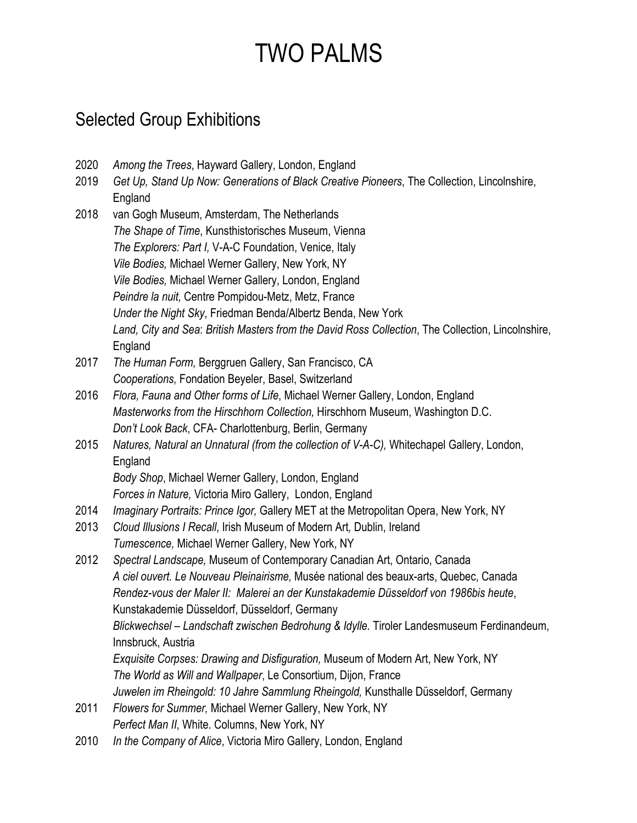#### Selected Group Exhibitions

- 2020 *Among the Trees*, Hayward Gallery, London, England
- 2019 *Get Up, Stand Up Now: Generations of Black Creative Pioneers*, The Collection, Lincolnshire, England
- 2018 van Gogh Museum, Amsterdam, The Netherlands *The Shape of Time*, Kunsthistorisches Museum, Vienna *The Explorers: Part I,* V-A-C Foundation, Venice, Italy *Vile Bodies,* Michael Werner Gallery, New York, NY *Vile Bodies,* Michael Werner Gallery, London, England *Peindre la nuit,* Centre Pompidou-Metz, Metz, France *Under the Night Sky*, Friedman Benda/Albertz Benda, New York *Land, City and Sea*: *British Masters from the David Ross Collection*, The Collection, Lincolnshire, England
- 2017 *The Human Form,* Berggruen Gallery, San Francisco, CA *Cooperations,* Fondation Beyeler, Basel, Switzerland
- 2016 *Flora, Fauna and Other forms of Life*, Michael Werner Gallery, London, England *Masterworks from the Hirschhorn Collection,* Hirschhorn Museum, Washington D.C. *Don't Look Back*, CFA- Charlottenburg, Berlin, Germany
- 2015 *Natures, Natural an Unnatural (from the collection of V-A-C),* Whitechapel Gallery, London, England

*Body Shop*, Michael Werner Gallery, London, England *Forces in Nature,* Victoria Miro Gallery, London, England

- 2014 *Imaginary Portraits: Prince Igor,* Gallery MET at the Metropolitan Opera, New York, NY
- 2013 *Cloud Illusions I Recall*, Irish Museum of Modern Art*,* Dublin, Ireland *Tumescence,* Michael Werner Gallery, New York, NY
- 2012 *Spectral Landscape,* Museum of Contemporary Canadian Art, Ontario, Canada *A ciel ouvert. Le Nouveau Pleinairisme,* Musée national des beaux-arts, Quebec, Canada *Rendez-vous der Maler II: Malerei an der Kunstakademie Düsseldorf von 1986bis heute*, Kunstakademie Düsseldorf, Düsseldorf, Germany *Blickwechsel – Landschaft zwischen Bedrohung & Idylle.* Tiroler Landesmuseum Ferdinandeum, Innsbruck, Austria *Exquisite Corpses: Drawing and Disfiguration,* Museum of Modern Art, New York, NY

*The World as Will and Wallpaper*, Le Consortium, Dijon, France

*Juwelen im Rheingold: 10 Jahre Sammlung Rheingold,* Kunsthalle Düsseldorf, Germany

- 2011 *Flowers for Summer,* Michael Werner Gallery, New York, NY *Perfect Man II*, White. Columns, New York, NY
- 2010 *In the Company of Alice*, Victoria Miro Gallery, London, England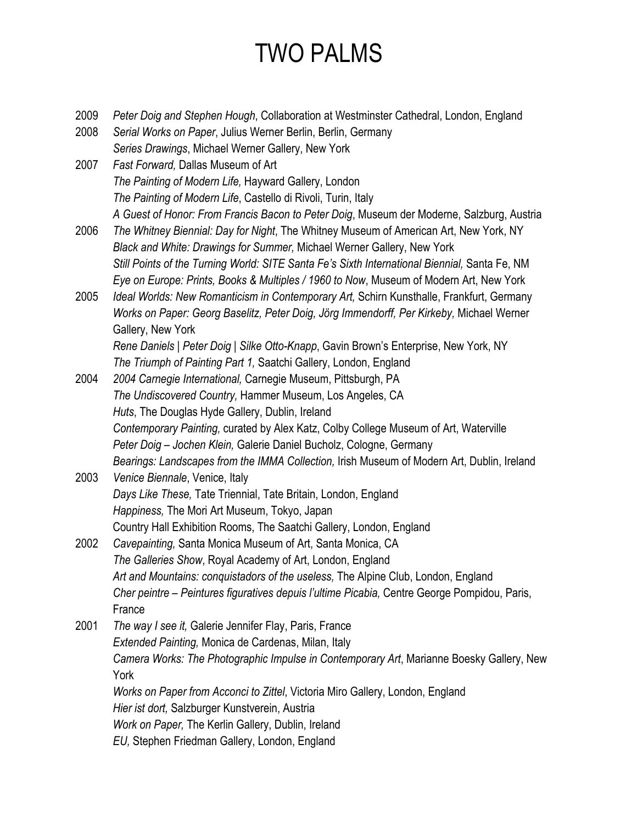- 2009 *Peter Doig and Stephen Hough*, Collaboration at Westminster Cathedral, London, England
- 2008 *Serial Works on Paper*, Julius Werner Berlin, Berlin, Germany *Series Drawings*, Michael Werner Gallery, New York
- 2007 *Fast Forward,* Dallas Museum of Art *The Painting of Modern Life,* Hayward Gallery, London *The Painting of Modern Life*, Castello di Rivoli, Turin, Italy *A Guest of Honor: From Francis Bacon to Peter Doig*, Museum der Moderne, Salzburg, Austria
- 2006 *The Whitney Biennial: Day for Night*, The Whitney Museum of American Art, New York, NY *Black and White: Drawings for Summer,* Michael Werner Gallery, New York *Still Points of the Turning World: SITE Santa Fe's Sixth International Biennial, Santa Fe, NM Eye on Europe: Prints, Books & Multiples / 1960 to Now*, Museum of Modern Art, New York
- 2005 *Ideal Worlds: New Romanticism in Contemporary Art,* Schirn Kunsthalle, Frankfurt, Germany *Works on Paper: Georg Baselitz, Peter Doig, Jörg Immendorff, Per Kirkeby,* Michael Werner Gallery, New York

*Rene Daniels | Peter Doig | Silke Otto-Knapp*, Gavin Brown's Enterprise, New York, NY *The Triumph of Painting Part 1,* Saatchi Gallery, London, England

- 2004 *2004 Carnegie International,* Carnegie Museum, Pittsburgh, PA *The Undiscovered Country,* Hammer Museum, Los Angeles, CA *Huts*, The Douglas Hyde Gallery, Dublin, Ireland *Contemporary Painting,* curated by Alex Katz, Colby College Museum of Art, Waterville *Peter Doig – Jochen Klein,* Galerie Daniel Bucholz, Cologne, Germany *Bearings: Landscapes from the IMMA Collection,* Irish Museum of Modern Art, Dublin, Ireland
- 2003 *Venice Biennale*, Venice, Italy *Days Like These,* Tate Triennial, Tate Britain, London, England *Happiness,* The Mori Art Museum, Tokyo, Japan Country Hall Exhibition Rooms, The Saatchi Gallery, London, England
- 2002 *Cavepainting,* Santa Monica Museum of Art, Santa Monica, CA *The Galleries Show*, Royal Academy of Art, London, England *Art and Mountains: conquistadors of the useless,* The Alpine Club, London, England *Cher peintre – Peintures figuratives depuis l'ultime Picabia,* Centre George Pompidou, Paris, France
- 2001 *The way I see it,* Galerie Jennifer Flay, Paris, France *Extended Painting,* Monica de Cardenas, Milan, Italy *Camera Works: The Photographic Impulse in Contemporary Art*, Marianne Boesky Gallery, New York *Works on Paper from Acconci to Zittel*, Victoria Miro Gallery, London, England *Hier ist dort,* Salzburger Kunstverein, Austria *Work on Paper,* The Kerlin Gallery, Dublin, Ireland *EU,* Stephen Friedman Gallery, London, England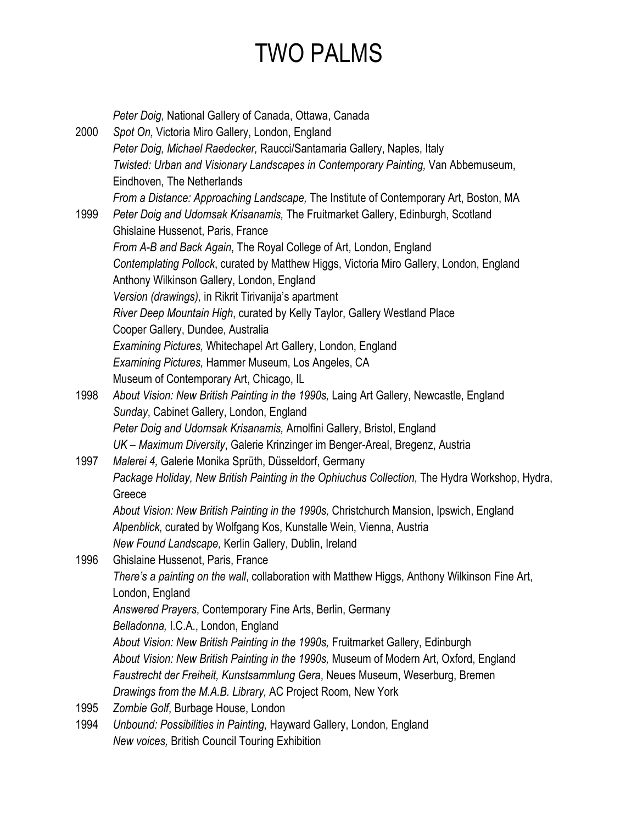|      | Peter Doig, National Gallery of Canada, Ottawa, Canada                                        |
|------|-----------------------------------------------------------------------------------------------|
| 2000 | Spot On, Victoria Miro Gallery, London, England                                               |
|      | Peter Doig, Michael Raedecker, Raucci/Santamaria Gallery, Naples, Italy                       |
|      | Twisted: Urban and Visionary Landscapes in Contemporary Painting, Van Abbemuseum,             |
|      | Eindhoven, The Netherlands                                                                    |
|      | From a Distance: Approaching Landscape, The Institute of Contemporary Art, Boston, MA         |
| 1999 | Peter Doig and Udomsak Krisanamis, The Fruitmarket Gallery, Edinburgh, Scotland               |
|      | Ghislaine Hussenot, Paris, France                                                             |
|      | From A-B and Back Again, The Royal College of Art, London, England                            |
|      | Contemplating Pollock, curated by Matthew Higgs, Victoria Miro Gallery, London, England       |
|      | Anthony Wilkinson Gallery, London, England                                                    |
|      | Version (drawings), in Rikrit Tirivanija's apartment                                          |
|      | River Deep Mountain High, curated by Kelly Taylor, Gallery Westland Place                     |
|      | Cooper Gallery, Dundee, Australia                                                             |
|      | Examining Pictures, Whitechapel Art Gallery, London, England                                  |
|      | Examining Pictures, Hammer Museum, Los Angeles, CA                                            |
|      | Museum of Contemporary Art, Chicago, IL                                                       |
| 1998 | About Vision: New British Painting in the 1990s, Laing Art Gallery, Newcastle, England        |
|      | Sunday, Cabinet Gallery, London, England                                                      |
|      | Peter Doig and Udomsak Krisanamis, Arnolfini Gallery, Bristol, England                        |
|      | UK - Maximum Diversity, Galerie Krinzinger im Benger-Areal, Bregenz, Austria                  |
| 1997 | Malerei 4, Galerie Monika Sprüth, Düsseldorf, Germany                                         |
|      | Package Holiday, New British Painting in the Ophiuchus Collection, The Hydra Workshop, Hydra, |
|      | Greece                                                                                        |
|      | About Vision: New British Painting in the 1990s, Christchurch Mansion, Ipswich, England       |
|      | Alpenblick, curated by Wolfgang Kos, Kunstalle Wein, Vienna, Austria                          |
|      | New Found Landscape, Kerlin Gallery, Dublin, Ireland                                          |
| 1996 | Ghislaine Hussenot, Paris, France                                                             |
|      | There's a painting on the wall, collaboration with Matthew Higgs, Anthony Wilkinson Fine Art, |
|      | London, England                                                                               |
|      | Answered Prayers, Contemporary Fine Arts, Berlin, Germany                                     |
|      | Belladonna, I.C.A., London, England                                                           |
|      | About Vision: New British Painting in the 1990s, Fruitmarket Gallery, Edinburgh               |
|      | About Vision: New British Painting in the 1990s, Museum of Modern Art, Oxford, England        |
|      | Faustrecht der Freiheit, Kunstsammlung Gera, Neues Museum, Weserburg, Bremen                  |
|      | Drawings from the M.A.B. Library, AC Project Room, New York                                   |
| 1995 | Zombie Golf, Burbage House, London                                                            |
| 1994 | Unbound: Possibilities in Painting, Hayward Gallery, London, England                          |
|      | New voices, British Council Touring Exhibition                                                |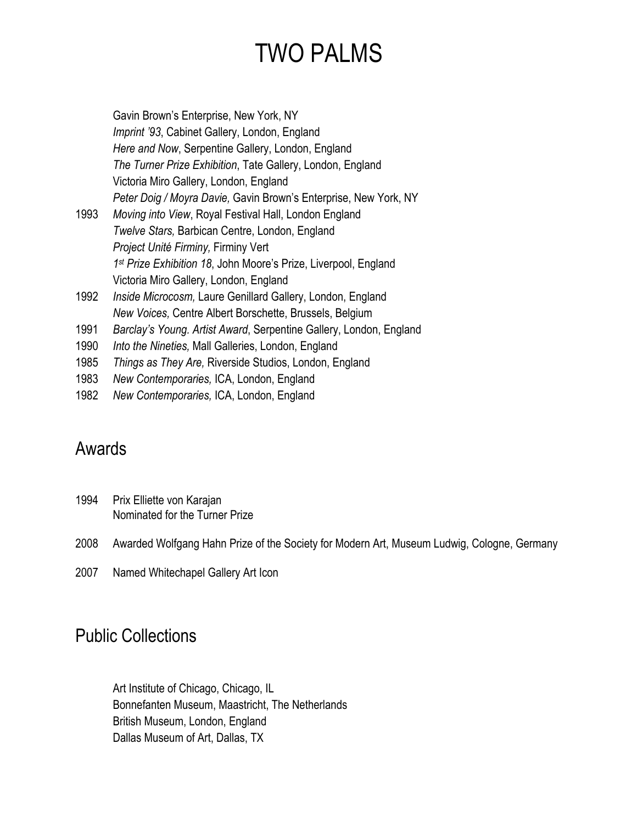| Gavin Brown's Enterprise, New York, NY                                      |
|-----------------------------------------------------------------------------|
| Imprint '93, Cabinet Gallery, London, England                               |
| Here and Now, Serpentine Gallery, London, England                           |
| The Turner Prize Exhibition, Tate Gallery, London, England                  |
| Victoria Miro Gallery, London, England                                      |
| Peter Doig / Moyra Davie, Gavin Brown's Enterprise, New York, NY            |
| Moving into View, Royal Festival Hall, London England                       |
| Twelve Stars, Barbican Centre, London, England                              |
| Project Unité Firminy, Firminy Vert                                         |
| 1 <sup>st</sup> Prize Exhibition 18, John Moore's Prize, Liverpool, England |
| Victoria Miro Gallery, London, England                                      |
| Inside Microcosm, Laure Genillard Gallery, London, England                  |
| New Voices, Centre Albert Borschette, Brussels, Belgium                     |
| Barclay's Young. Artist Award, Serpentine Gallery, London, England          |
| Into the Nineties, Mall Galleries, London, England                          |
| Things as They Are, Riverside Studios, London, England                      |
| New Contemporaries, ICA, London, England                                    |
| New Contemporaries, ICA, London, England                                    |
|                                                                             |

#### Awards

- 1994 Prix Elliette von Karajan Nominated for the Turner Prize
- 2008 Awarded Wolfgang Hahn Prize of the Society for Modern Art, Museum Ludwig, Cologne, Germany
- 2007 Named Whitechapel Gallery Art Icon

#### Public Collections

Art Institute of Chicago, Chicago, IL Bonnefanten Museum, Maastricht, The Netherlands British Museum, London, England Dallas Museum of Art, Dallas, TX